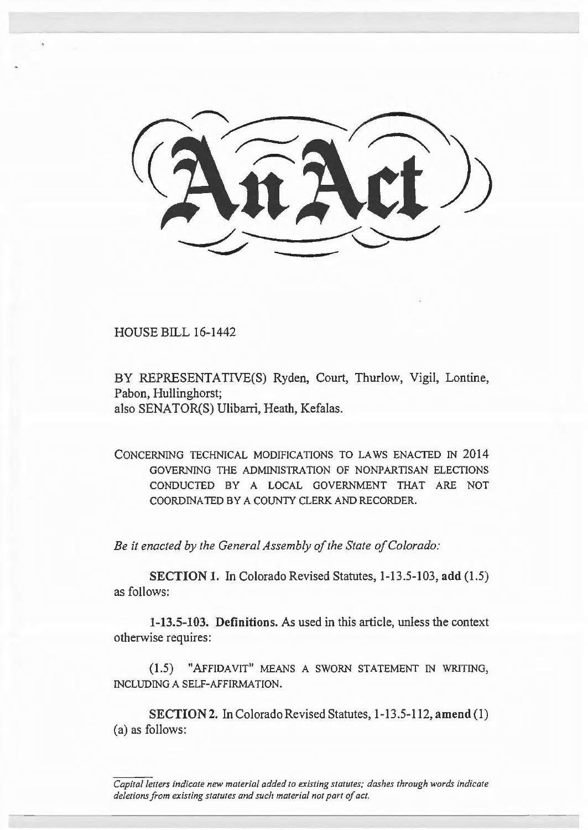HOUSE BILL 16-1442

BY REPRESENTATIVE(S) Ryden, Court, Thurlow, Vigil, Lontine, Pabon, Hullinghorst; also SENATOR(S) Ulibarri, Heath, Kefalas.

CONCERNING TECHNICAL MODIFICATIONS TO LAWS ENACTED IN 2014 GOVERNING TilE ADMINISTRATION OF NONPARTISAN ELECTIONS CONDUCTED BY A LOCAL GOVERNMENT THAT ARE NOT COORD INATED BY A COUNTY CLERK AND RECORDER.

*Be it enacted by the General Assembly of the State of Colorado:* 

SECTION 1. In Colorado Revised Statutes, 1-13.5-103, add (1.5) as follows:

1-13.5-103. Definitions. As used in this article, unless the context otherwise requires:

(1.5) "AFFIDAVIT" MEANS A SWORN STATEMENT IN WRITING, INCLUDING A SELF-AFFIRMATION.

SECTION 2. In Colorado Revised Statutes, 1-13.5-112, amend (1) (a) as follows:

*Capital letters indicate new material added to existing statutes; dashes through words indicate deletions from existing statutes and such material not part of act.*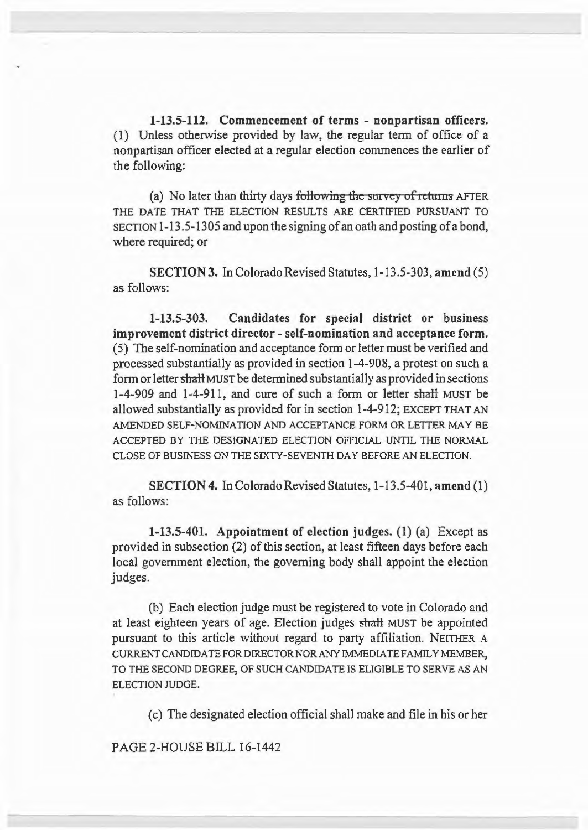1-13.5-112. Commencement of terms - nonpartisan officers. (1) Unless otherwise provided by law, the regular term of office of a nonpartisan officer elected at a regular election commences the earlier of the following:

(a) No later than thirty days following the survey of returns AFTER THE DATE THAT THE ELECTION RESULTS ARE CERTIFIED PURSUANT TO SECTION 1-13.5-1305 and upon the signing of an oath and posting of a bond, where required; or

SECTION 3. In Colorado Revised Statutes, 1-13.5-303, amend (5) as follows:

1-13.5-303. Candidates for special district or business improvement district director- self-nomination and acceptance form. ( 5) The self-nomination and acceptance form or letter must be verified and processed substantially as provided in section 1-4-908, a protest on such a form or letter shaH MUST be determined substantially as provided in sections 1-4-909 and 1-4-911, and cure of such a form or letter shall MUST be allowed substantially as provided for in section 1-4-912; EXCEPT THAT AN AMENDED SELF-NOMINATION AND ACCEPTANCE FORM OR LETTER MAY BE ACCEPTED BY THE DESIGNATED ELECTION OFFICIAL UNTIL THE NORMAL CLOSE OF BUSINESS ON THE SIXTY -SEVENTH DAY BEFORE AN ELECTION.

SECTION 4. In Colorado Revised Statutes, 1-13.5-401, amend (1) as follows:

1-13.5-401. Appointment of election judges. (1) (a) Except as provided in subsection (2) of this section, at least fifteen days before each local government election, the governing body shall appoint the election judges.

(b) Each election judge must be registered to vote in Colorado and at least eighteen years of age. Election judges shall MUST be appointed pursuant to this article without regard to party affiliation. NEITHER A CURRENT CANDIDATE FOR DIRECTOR NOR ANY IMMEDIATE FAMILY MEMBER, TO THE SECOND DEGREE, OF SUCH CANDIDATE IS ELIGIBLE TO SERVE AS AN ELECTION JUDGE.

(c) The designated election official shall make and file in his or her

PAGE 2-HOUSE BILL 16-1442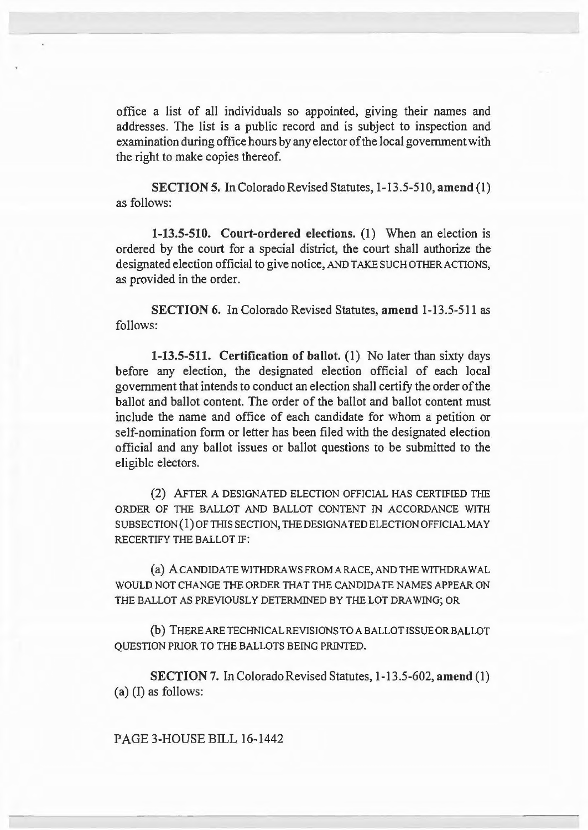office a list of all individuals so appointed, giving their names and addresses. The list is a public record and is subject to inspection and examination during office hours by any elector of the local government with the right to make copies thereof.

SECTION 5. In Colorado Revised Statutes, 1-13.5-510, amend (1) as follows:

1-13.5-510. Court-ordered elections. (1) When an election is ordered by the court for a special district, the court shall authorize the designated election official to give notice, AND TAKE SUCH OTHER ACTIONS, as provided in the order.

SECTION 6. In Colorado Revised Statutes, amend 1-13.5-511 as follows:

1-13.5-511. Certification of ballot. (1) No later than sixty days before any election, the designated election official of each local government that intends to conduct an election shall certify the order of the ballot and ballot content. The order of the ballot and ballot content must include the name and office of each candidate for whom a petition or self-nomination form or letter has been filed with the designated election official and any ballot issues or ballot questions to be submitted to the eligible electors.

(2) AFTER A DESIGNATED ELECTION OFFICIAL HAS CERTIFIED THE ORDER OF THE BALLOT AND BALLOT CONTENT IN ACCORDANCE WITH  $SUBSECTION (1)$  OF THIS SECTION, THE DESIGNATED ELECTION OFFICIAL MAY RECERTIFY THE BALLOT IF:

(a) A CANDIDATE WITHDRAWS FROM A RACE, AND THE WITHDRAWAL WOULD NOT CHANGE THE ORDER THAT THE CANDIDATE NAMES APPEAR ON THE BALLOT AS PREVIOUSLY DETERMINED BY THE LOT ORA WING; OR

(b) THERE ARE TECHNICAL REVISIONS TO A BALLOT ISSUE OR BALLOT QUESTION PRIOR TO THE BALLOTS BEING PRINTED.

SECTION 7. In Colorado Revised Statutes, 1-13.5-602, amend (1) (a) (I) as follows:

PAGE 3-HOUSE BILL 16-1442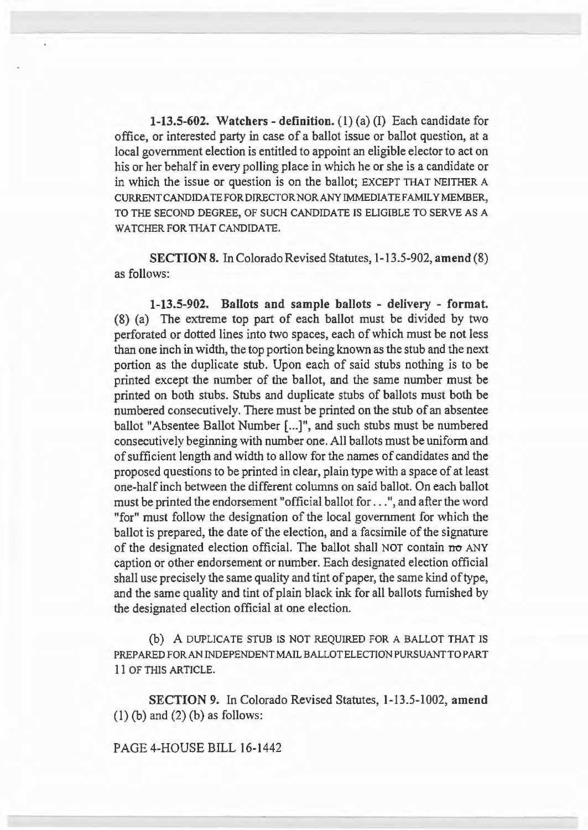1-13.5-602. Watchers - definition.  $(1)$   $(a)$   $(I)$  Each candidate for office, or interested party in case of a ballot issue or ballot question, at a local government election is entitled to appoint an eligible elector to act on his or her behalf in every polling place in which he or she is a candidate or in which the issue or question is on the ballot; EXCEPT THAT NEITHER A CURRENTCANDIDATEFORDIRECTORNORANYIMMEDIATEFAMILYMEMBER, TO THE SECOND DEGREE, OF SUCH CANDIDATE IS ELIGIBLE TO SERVE AS A WATCHER FOR THAT CANDIDATE.

SECTION 8. In Colorado Revised Statutes, 1-13.5-902, amend (8) as follows:

1-13.5-902. Ballots and sample ballots - delivery - format. (8) (a) The extreme top part of each ballot must be divided by two perforated or dotted lines into two spaces, each of which must be not less than one inch in width, the top portion being known as the stub and the next portion as the duplicate stub. Upon each of said stubs nothing is to be printed except the number of the ballot, and the same number must be printed on both stubs. Stubs and duplicate stubs of ballots must both be numbered consecutively. There must be printed on the stub of an absentee ballot "Absentee Ballot Number [...]", and such stubs must be numbered consecutively beginning with number one. All ballots must be uniform and of sufficient length and width to allow for the names of candidates and the proposed questions to be printed in clear, plain type with a space of at least one-half inch between the different columns on said ballot. On each ballot must be printed the endorsement "official ballot for ... ", and after the word "for" must follow the designation of the local government for which the ballot is prepared, the date of the election, and a facsimile of the signature of the designated election official. The ballot shall NOT contain no ANY caption or other endorsement or number. Each designated election official shall use precisely the same quality and tint of paper, the same kind of type, and the same quality and tint of plain black ink for all ballots furnished by the designated election official at one election.

(b) A DUPLICATE STUB IS NOT REQUIRED FOR A BALLOT THAT IS PREPARED FORAN INDEPENDENT MAIL BALLOT ELECTION PURSUANT TO PART 11 OF THIS ARTICLE.

SECTION 9. In Colorado Revised Statutes, 1-13.5-1002, amend  $(1)$  (b) and  $(2)$  (b) as follows:

PAGE 4-HOUSE BILL 16-1442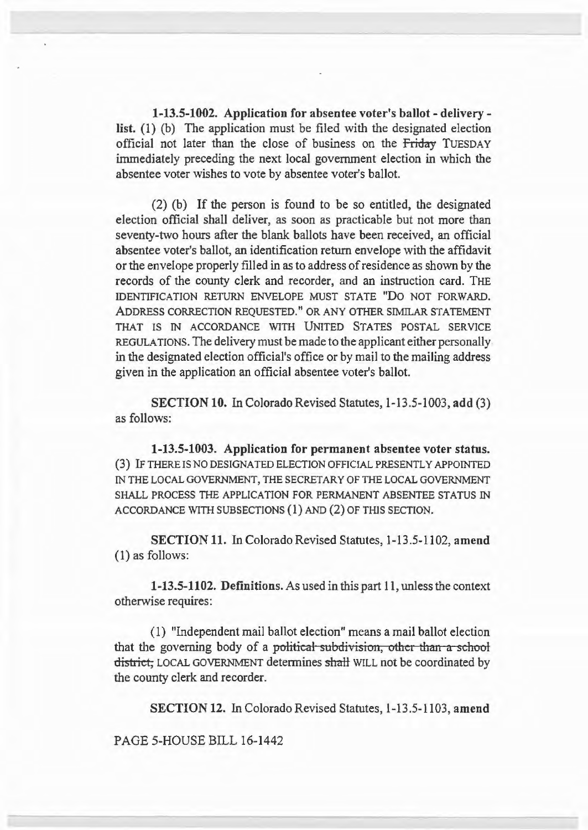1-13.5-1002. Application for absentee voter's ballot- deliverylist. (1) (b) The application must be filed with the designated election official not later than the close of business on the Friday TuESDAY immediately preceding the next local government election in which the absentee voter wishes to vote by absentee voter's ballot.

(2) (b) If the person is found to be so entitled, the designated election official shall deliver, as soon as practicable but not more than seventy-two hours after the blank ballots have been received, an official absentee voter's ballot, an identification return envelope with the affidavit or the envelope properly filled in as to address of residence as shown by the records of the county clerk and recorder, and an instruction card. THE IDENTIFICATION RETURN ENVELOPE MUST STATE "DO NOT FORWARD. ADDRESS CORRECTION REQUESTED." OR ANY OTHER SIMILAR STATEMENT THAT IS IN ACCORDANCE WITH UNITED STATES POSTAL SERVICE REGULATIONS. The delivery must be made to the applicant either personally in the designated election official's office or by mail to the mailing address given in the application an official absentee voter's ballot.

SECTION 10. In Colorado Revised Statutes, 1-13.5-1003, add (3) as follows:

1-13.5-1003. Application for permanent absentee voter status. (3) IF THERE IS NO DESIGNATED ELECTION OFFICIAL PRESENTLY APPOINTED IN THE LOCAL GOVERNMENT, THE SECRETARY OF THE LOCAL GOVERNMENT SHALL PROCESS THE APPLICATION FOR PERMANENT ABSENTEE STATUS IN ACCORDANCE WITH SUBSECTIONS (1) AND (2) OF THIS SECTION.

SECTION 11. In Colorado Revised Statutes, 1-13.5-1102, amend (I) as follows:

1-13.5-1102. Definitions. As used in this part 11, unless the context otherwise requires:

(1) "Independent mail ballot election" means a mail ballot election that the governing body of a political subdivision, other than a school district, LOCAL GOVERNMENT determines shall WILL not be coordinated by the county clerk and recorder.

SECTION 12. In Colorado Revised Statutes, 1-13.5-1103, amend

PAGE 5-HOUSE BILL 16-1442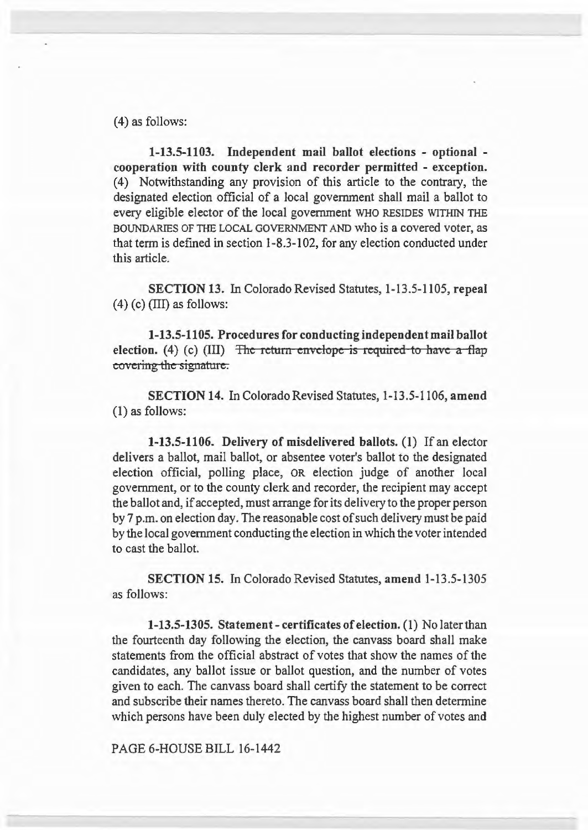(4) as follows:

1-13.5-1103. Independent mail ballot elections - optional cooperation with county clerk and recorder permitted - exception. (4) Notwithstanding any provision of this article to the contrary, the designated election official of a local government shall mail a ballot to every eligible elector of the local government WHO RESIDES WITHIN THE BOUNDARIES OF THE LOCAL GOVERNMENT AND who is a covered voter, as that term is defmed in section 1-8.3-102, for any election conducted under this article.

SECTION 13. In Colorado Revised Statutes, 1-13.5-1105, repeal  $(4)$  (c) (III) as follows:

1-13.5-1105. Procedures for conducting independent mail ballot election. (4) (c) (III)  $\overline{z}$  The return envelope is required to have a flap covering the signature.

SECTION 14. In Colorado Revised Statutes, 1-13.5-1106, amend (1) as follows:

1-13.5-1106. Delivery of misdelivered ballots. (1) If an elector delivers a ballot, mail ballot, or absentee voter's ballot to the designated election official, polling place, OR election judge of another local government, or to the county clerk and recorder, the recipient may accept the ballot and, if accepted, must arrange for its delivery to the proper person by 7 p.m. on election day. The reasonable cost of such delivery must be paid by the local government conducting the election in which the voter intended to cast the ballot.

SECTION 15. In Colorado Revised Statutes, amend 1-13.5-1305 as follows:

1-13.5-1305. Statement- certificates of election. (1) No later than the fourteenth day following the election, the canvass board shall make statements from the official abstract of votes that show the names of the candidates, any ballot issue or ballot question, and the number of votes given to each. The canvass board shall certify the statement to be correct and subscribe their names thereto. The canvass board shall then determine which persons have been duly elected by the highest number of votes and

PAGE 6-HOUSE BILL 16-1442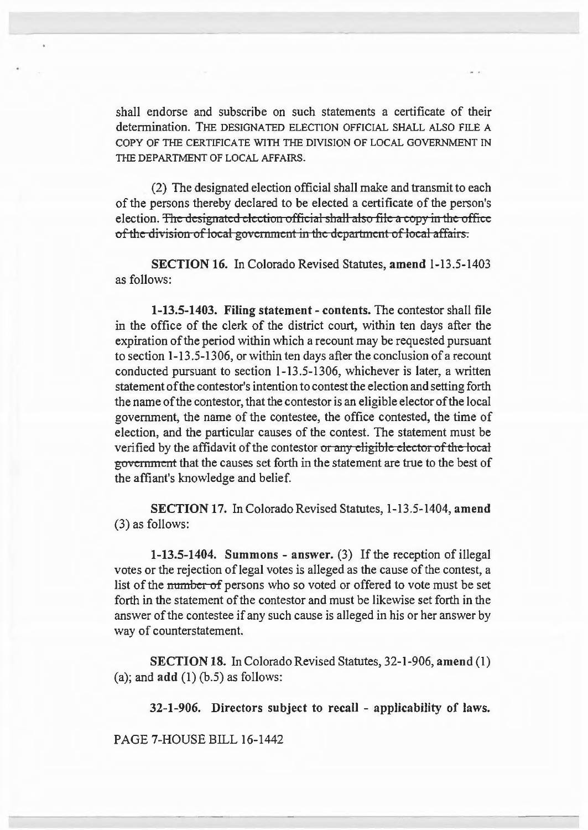shall endorse and subscribe on such statements a certificate of their determination. THE DESIGNATED ELECTION OFFICIAL SHALL ALSO FILE A COPY OF THE CERTIFICATE WITH THE DIVISION OF LOCAL GOVERNMENT IN THE DEPARTMENT OF LOCAL AFFAIRS.

(2) The designated election official shall make and transmit to each of the persons thereby declared to be elected a certificate of the person's election. The designated election official shall also file a copy in the office of the division of local government in the department of local affairs.

SECTION 16. In Colorado Revised Statutes, amend 1-13.5-1403 as follows:

1-13.5-1403. Filing statement- contents. The contester shall file in the office of the clerk of the district court, within ten days after the expiration of the period within which a recount may be requested pursuant to section 1-13.5-1306, or within ten days after the conclusion of a recount conducted pursuant to section  $1-13.5-1306$ , whichever is later, a written statement of the contester's intention to contest the election and setting forth the name of the contestor, that the contestor is an eligible elector of the local government, the name of the contestee, the office contested, the time of election, and the particular causes of the contest. The statement must be verified by the affidavit of the contestor or any eligible elector of the local govennnent that the causes set forth in the statement are true to the best of the affiant's knowledge and belief.

SECTION 17. In Colorado Revised Statutes, 1-13.5-1404, amend (3) as follows:

1-13.5-1404. Summons - answer. (3) If the reception of illegal votes or the rejection of legal votes is alleged as the cause of the contest, a list of the number of persons who so voted or offered to vote must be set forth in the statement of the contestor and must be likewise set forth in the answer of the contestee if any such cause is alleged in his or her answer by way of counterstatement.

SECTION 18. In Colorado Revised Statutes, 32-1-906, amend (1) (a); and  $add(1)$  (b.5) as follows:

32-1-906. Directors subject to recall - applicability of laws.

PAGE 7-HOUSE BILL 16-1442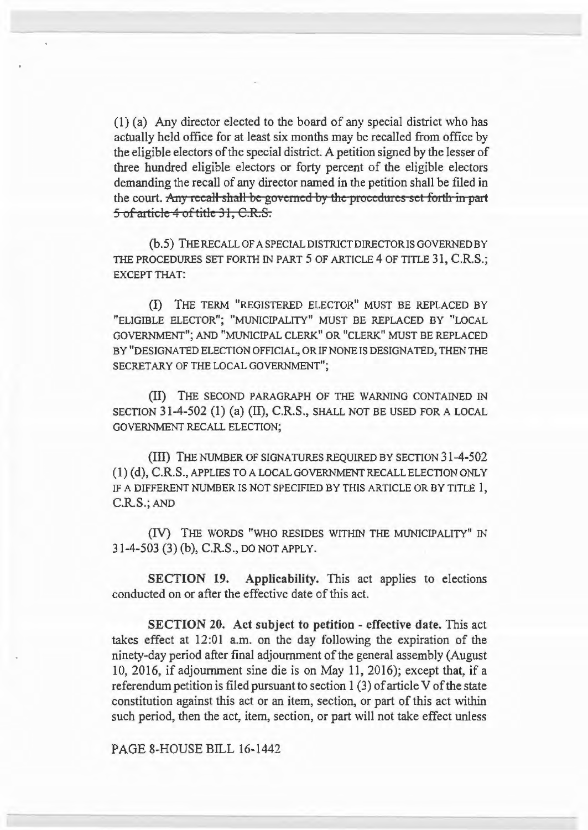(I) (a) Any director elected to the board of any special district who has actually held office for at least six months may be recalled from office by the eligible electors of the special district. A petition signed by the lesser of three hundred eligible electors or forty percent of the eligible electors demanding the recall of any director named in the petition shall be filed in the court. Any recall shall be governed by the procedures set forth in part 5 of article 4 of title 31, C.R.S.

(b.5) THE RECALL OF A SPECIAL DISTRICT DIRECTOR IS GOVERNED BY THE PROCEDURES SET FORTH IN PART 5 OF ARTICLE 4 OF TITLE 31, C.R.S.; EXCEPT THAT:

(!) THE TERM "REGISTERED ELECTOR" MUST BE REPLACED BY "ELIGIDLE ELECTOR"; "MUNICIPALITY" MUST BE REPLACED BY "LOCAL GOVERNMENT"; AND "MUNICIPAL CLERK" OR "CLERK" MUST BE REPLACED BY "DESIGNATED ELECTION OFFICIAL, OR IF NONE IS DESIGNATED, THEN THE SECRETARY OF THE LOCAL GOVERNMENT";

{II) THE SECOND PARAGRAPH OF THE WARNING CONTAINED IN SECTION 31-4-502 (1) (a) (II), C.R.S., SHALL NOT BE USED FOR A LOCAL GOVERNMENT RECALL ELECTION;

(Ill) THE NUMBER OF SIGNATURES REQUIRED BY SECTION 31-4-502  $(1)$  (d), C.R.S., APPLIES TO A LOCAL GOVERNMENT RECALL ELECTION ONLY IF A DIFFERENT NUMBER IS NOT SPECIFIED BY THIS ARTICLE OR BY TITLE 1, C.RS.;AND

(IV) THE WORDS "WHO RESIDES WITHIN THE MUNICIPALITY" IN 31-4-503 (3) {b), C.R.S., DO NOT APPLY.

SECTION 19. Applicability. This act applies to elections conducted on or after the effective date of this act.

SECTION 20. Act subject to petition - effective date. This act takes effect at 12:01 a.m. on the day following the expiration of the ninety-day period after final adjournment of the general assembly (August 10, 2016, if adjournment sine die is on May 11, 2016); except that, if a referendum petition is filed pursuant to section 1 (3) of article V of the state constitution against this act or an item, section, or part of this act within such period, then the act, item, section, or part will not take effect unless

PAGE 8-HOUSE BILL 16-1442